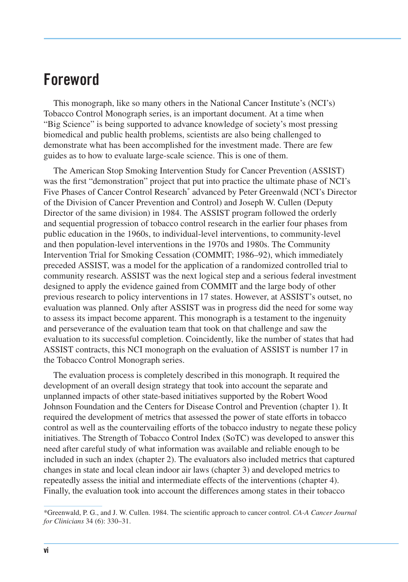## **Foreword**

This monograph, like so many others in the National Cancer Institute's (NCI's) Tobacco Control Monograph series, is an important document. At a time when "Big Science" is being supported to advance knowledge of society's most pressing biomedical and public health problems, scientists are also being challenged to demonstrate what has been accomplished for the investment made. There are few guides as to how to evaluate large-scale science. This is one of them.

The American Stop Smoking Intervention Study for Cancer Prevention (ASSIST) was the first "demonstration" project that put into practice the ultimate phase of NCI's Five Phases of Cancer Control Research<sup>\*</sup> advanced by Peter Greenwald (NCI's Director of the Division of Cancer Prevention and Control) and Joseph W. Cullen (Deputy Director of the same division) in 1984. The ASSIST program followed the orderly and sequential progression of tobacco control research in the earlier four phases from public education in the 1960s, to individual-level interventions, to community-level and then population-level interventions in the 1970s and 1980s. The Community Intervention Trial for Smoking Cessation (COMMIT; 1986–92), which immediately preceded ASSIST, was a model for the application of a randomized controlled trial to community research. ASSIST was the next logical step and a serious federal investment designed to apply the evidence gained from COMMIT and the large body of other previous research to policy interventions in 17 states. However, at ASSIST's outset, no evaluation was planned. Only after ASSIST was in progress did the need for some way to assess its impact become apparent. This monograph is a testament to the ingenuity and perseverance of the evaluation team that took on that challenge and saw the evaluation to its successful completion. Coincidently, like the number of states that had ASSIST contracts, this NCI monograph on the evaluation of ASSIST is number 17 in the Tobacco Control Monograph series.

 The evaluation process is completely described in this monograph. It required the development of an overall design strategy that took into account the separate and unplanned impacts of other state-based initiatives supported by the Robert Wood Johnson Foundation and the Centers for Disease Control and Prevention (chapter 1). It required the development of metrics that assessed the power of state efforts in tobacco control as well as the countervailing efforts of the tobacco industry to negate these policy initiatives. The Strength of Tobacco Control Index (SoTC) was developed to answer this need after careful study of what information was available and reliable enough to be included in such an index (chapter 2). The evaluators also included metrics that captured changes in state and local clean indoor air laws (chapter 3) and developed metrics to repeatedly assess the initial and intermediate effects of the interventions (chapter 4). Finally, the evaluation took into account the differences among states in their tobacco

Greenwald, P. G., and J. W. Cullen. 1984. The scientific approach to cancer control. *CA-A Cancer Journal for Clinicians* 34 (6): 330–31.